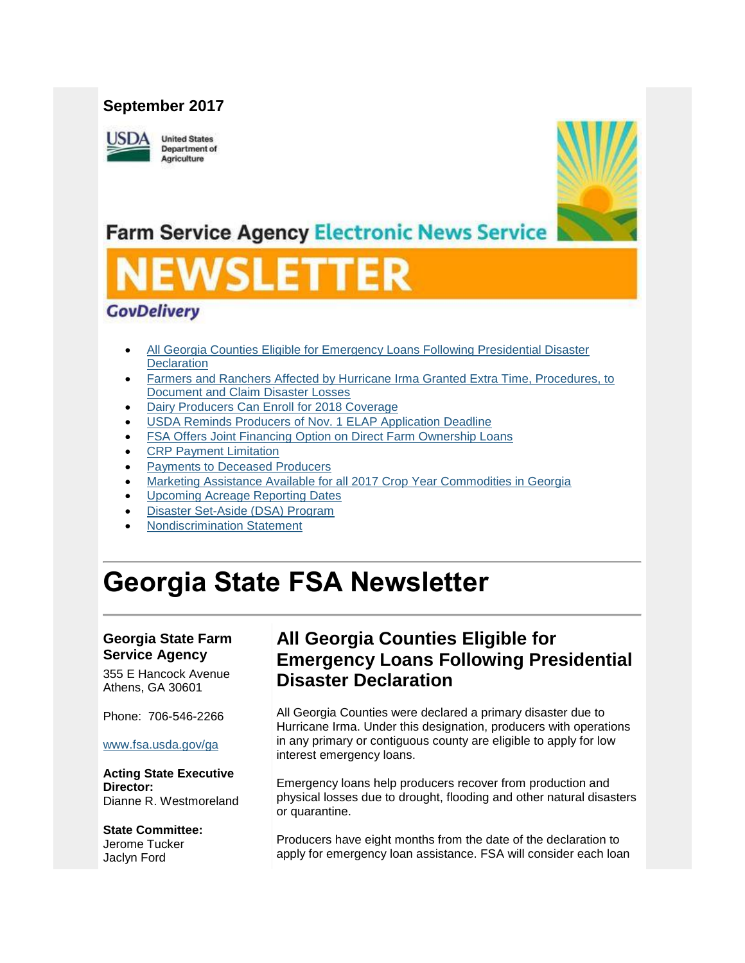#### **September 2017**

USDA

**United States Department of** Agriculture



## **Farm Service Agency Electronic News Service**

# WSLETTER

#### **GovDelivery**

- [All Georgia Counties Eligible for Emergency Loans Following Presidential Disaster](#page-0-0)  **[Declaration](#page-0-0)**
- [Farmers and Ranchers Affected by Hurricane Irma Granted Extra Time, Procedures, to](#page-1-0)  [Document and Claim Disaster Losses](#page-1-0)
- [Dairy Producers Can Enroll for 2018 Coverage](#page-2-0)
- [USDA Reminds Producers of Nov. 1 ELAP Application Deadline](#page-3-0)
- [FSA Offers Joint Financing Option on Direct Farm Ownership Loans](#page-3-1)
- [CRP Payment Limitation](#page-4-0)
- [Payments to Deceased Producers](#page-5-0)
- [Marketing Assistance Available for all 2017 Crop Year Commodities in Georgia](#page-5-1)
- [Upcoming Acreage Reporting Dates](#page-6-0)
- [Disaster Set-Aside \(DSA\) Program](#page-6-1)
- [Nondiscrimination Statement](#page-7-0)

## **Georgia State FSA Newsletter**

#### **Georgia State Farm Service Agency** 355 E Hancock Avenue

Athens, GA 30601

Phone: 706-546-2266

#### [www.fsa.usda.gov/ga](http://www.fsa.usda.gov/ga)

#### **Acting State Executive Director:** Dianne R. Westmoreland

#### **State Committee:** Jerome Tucker Jaclyn Ford

## <span id="page-0-0"></span>**All Georgia Counties Eligible for Emergency Loans Following Presidential Disaster Declaration**

All Georgia Counties were declared a primary disaster due to Hurricane Irma. Under this designation, producers with operations in any primary or contiguous county are eligible to apply for low interest emergency loans.

Emergency loans help producers recover from production and physical losses due to drought, flooding and other natural disasters or quarantine.

Producers have eight months from the date of the declaration to apply for emergency loan assistance. FSA will consider each loan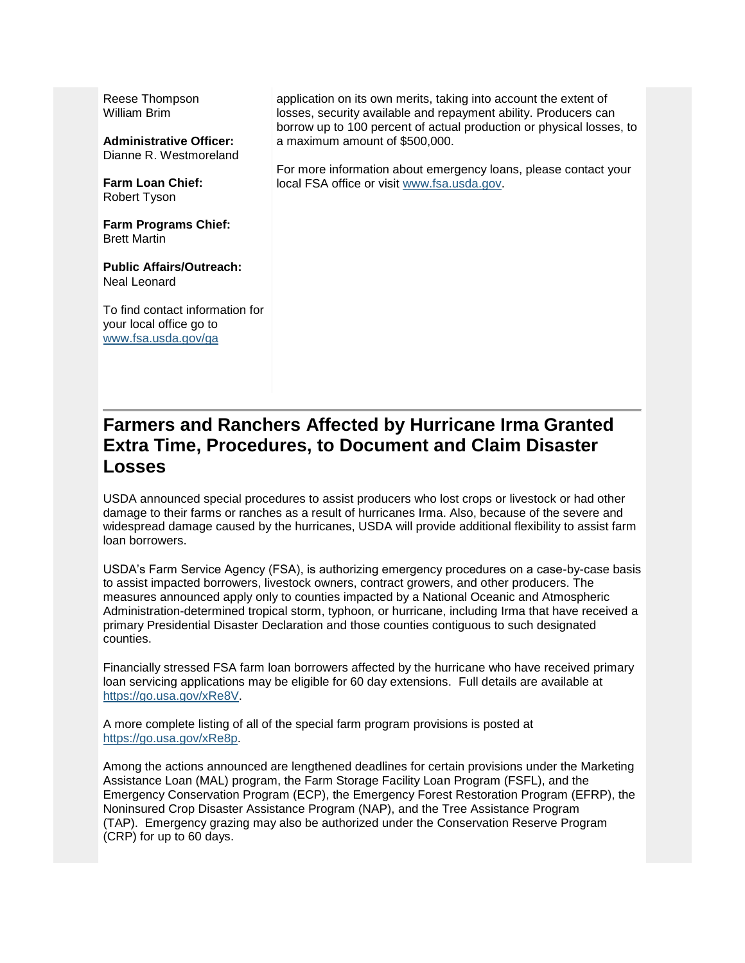Reese Thompson William Brim

**Administrative Officer:** Dianne R. Westmoreland

**Farm Loan Chief:** Robert Tyson

**Farm Programs Chief:** Brett Martin

**Public Affairs/Outreach:** Neal Leonard

To find contact information for your local office go to [www.fsa.usda.gov/ga](http://www.fsa.usda.gov/ga)

application on its own merits, taking into account the extent of losses, security available and repayment ability. Producers can borrow up to 100 percent of actual production or physical losses, to a maximum amount of \$500,000.

For more information about emergency loans, please contact your local FSA office or visit [www.fsa.usda.gov.](http://www.fsa.usda.gov/)

## <span id="page-1-0"></span>**Farmers and Ranchers Affected by Hurricane Irma Granted Extra Time, Procedures, to Document and Claim Disaster Losses**

USDA announced special procedures to assist producers who lost crops or livestock or had other damage to their farms or ranches as a result of hurricanes Irma. Also, because of the severe and widespread damage caused by the hurricanes, USDA will provide additional flexibility to assist farm loan borrowers.

USDA's Farm Service Agency (FSA), is authorizing emergency procedures on a case-by-case basis to assist impacted borrowers, livestock owners, contract growers, and other producers. The measures announced apply only to counties impacted by a National Oceanic and Atmospheric Administration-determined tropical storm, typhoon, or hurricane, including Irma that have received a primary Presidential Disaster Declaration and those counties contiguous to such designated counties.

Financially stressed FSA farm loan borrowers affected by the hurricane who have received primary loan servicing applications may be eligible for 60 day extensions. Full details are available at [https://go.usa.gov/xRe8V.](http://links.govdelivery.com/track?type=click&enid=ZWFzPTEmbWFpbGluZ2lkPTIwMTcwOTEzLjc4MTAxODgxJm1lc3NhZ2VpZD1NREItUFJELUJVTC0yMDE3MDkxMy43ODEwMTg4MSZkYXRhYmFzZWlkPTEwMDEmc2VyaWFsPTE3ODk4NDgxJmVtYWlsaWQ9Y2Fzc2llLmJhYmxlQHR4LnVzZGEuZ292JnVzZXJpZD1jYXNzaWUuYmFibGVAdHgudXNkYS5nb3YmZmw9JmV4dHJhPU11bHRpdmFyaWF0ZUlkPSYmJg==&&&101&&&https://go.usa.gov/xRe8V)

A more complete listing of all of the special farm program provisions is posted at [https://go.usa.gov/xRe8p.](http://links.govdelivery.com/track?type=click&enid=ZWFzPTEmbWFpbGluZ2lkPTIwMTcwOTEzLjc4MTAxODgxJm1lc3NhZ2VpZD1NREItUFJELUJVTC0yMDE3MDkxMy43ODEwMTg4MSZkYXRhYmFzZWlkPTEwMDEmc2VyaWFsPTE3ODk4NDgxJmVtYWlsaWQ9Y2Fzc2llLmJhYmxlQHR4LnVzZGEuZ292JnVzZXJpZD1jYXNzaWUuYmFibGVAdHgudXNkYS5nb3YmZmw9JmV4dHJhPU11bHRpdmFyaWF0ZUlkPSYmJg==&&&102&&&https://go.usa.gov/xRe8p)

Among the actions announced are lengthened deadlines for certain provisions under the Marketing Assistance Loan (MAL) program, the Farm Storage Facility Loan Program (FSFL), and the Emergency Conservation Program (ECP), the Emergency Forest Restoration Program (EFRP), the Noninsured Crop Disaster Assistance Program (NAP), and the Tree Assistance Program (TAP). Emergency grazing may also be authorized under the Conservation Reserve Program (CRP) for up to 60 days.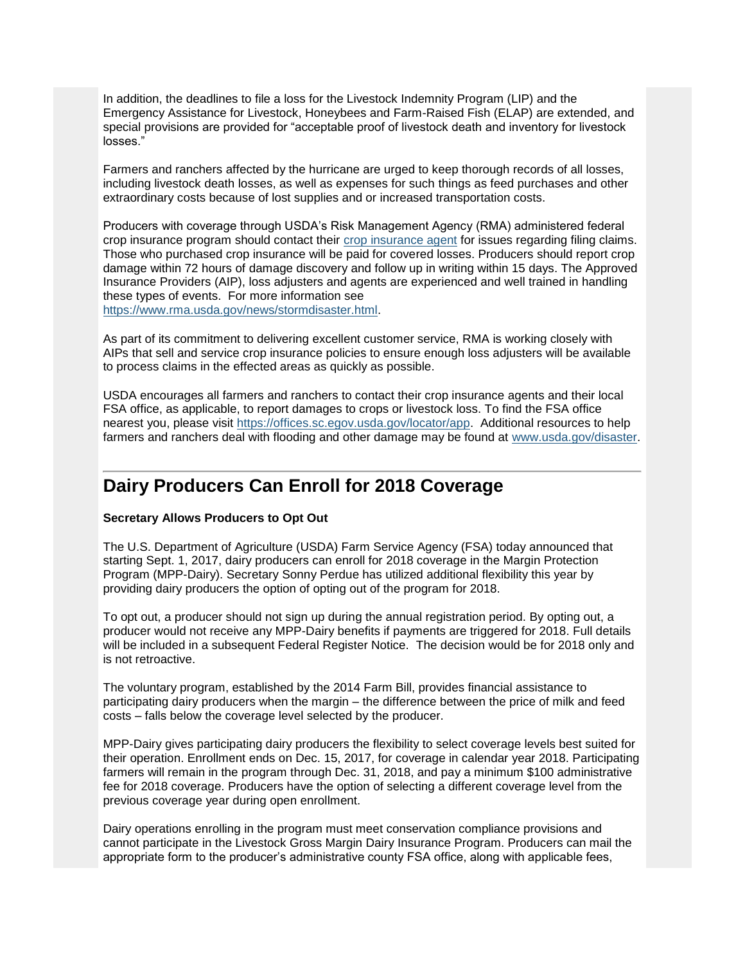In addition, the deadlines to file a loss for the Livestock Indemnity Program (LIP) and the Emergency Assistance for Livestock, Honeybees and Farm-Raised Fish (ELAP) are extended, and special provisions are provided for "acceptable proof of livestock death and inventory for livestock losses."

Farmers and ranchers affected by the hurricane are urged to keep thorough records of all losses, including livestock death losses, as well as expenses for such things as feed purchases and other extraordinary costs because of lost supplies and or increased transportation costs.

Producers with coverage through USDA's Risk Management Agency (RMA) administered federal crop insurance program should contact their [crop insurance agent](http://links.govdelivery.com/track?type=click&enid=ZWFzPTEmbWFpbGluZ2lkPTIwMTcwOTEzLjc4MTAxODgxJm1lc3NhZ2VpZD1NREItUFJELUJVTC0yMDE3MDkxMy43ODEwMTg4MSZkYXRhYmFzZWlkPTEwMDEmc2VyaWFsPTE3ODk4NDgxJmVtYWlsaWQ9Y2Fzc2llLmJhYmxlQHR4LnVzZGEuZ292JnVzZXJpZD1jYXNzaWUuYmFibGVAdHgudXNkYS5nb3YmZmw9JmV4dHJhPU11bHRpdmFyaWF0ZUlkPSYmJg==&&&103&&&https://prodwebnlb.rma.usda.gov/apps/AgentLocator/#/) for issues regarding filing claims. Those who purchased crop insurance will be paid for covered losses. Producers should report crop damage within 72 hours of damage discovery and follow up in writing within 15 days. The Approved Insurance Providers (AIP), loss adjusters and agents are experienced and well trained in handling these types of events. For more information see

[https://www.rma.usda.gov/news/stormdisaster.html.](http://links.govdelivery.com/track?type=click&enid=ZWFzPTEmbWFpbGluZ2lkPTIwMTcwOTEzLjc4MTAxODgxJm1lc3NhZ2VpZD1NREItUFJELUJVTC0yMDE3MDkxMy43ODEwMTg4MSZkYXRhYmFzZWlkPTEwMDEmc2VyaWFsPTE3ODk4NDgxJmVtYWlsaWQ9Y2Fzc2llLmJhYmxlQHR4LnVzZGEuZ292JnVzZXJpZD1jYXNzaWUuYmFibGVAdHgudXNkYS5nb3YmZmw9JmV4dHJhPU11bHRpdmFyaWF0ZUlkPSYmJg==&&&104&&&https://www.rma.usda.gov/news/stormdisaster.html)

As part of its commitment to delivering excellent customer service, RMA is working closely with AIPs that sell and service crop insurance policies to ensure enough loss adjusters will be available to process claims in the effected areas as quickly as possible.

USDA encourages all farmers and ranchers to contact their crop insurance agents and their local FSA office, as applicable, to report damages to crops or livestock loss. To find the FSA office nearest you, please visit [https://offices.sc.egov.usda.gov/locator/app.](http://links.govdelivery.com/track?type=click&enid=ZWFzPTEmbWFpbGluZ2lkPTIwMTcwOTEzLjc4MTAxODgxJm1lc3NhZ2VpZD1NREItUFJELUJVTC0yMDE3MDkxMy43ODEwMTg4MSZkYXRhYmFzZWlkPTEwMDEmc2VyaWFsPTE3ODk4NDgxJmVtYWlsaWQ9Y2Fzc2llLmJhYmxlQHR4LnVzZGEuZ292JnVzZXJpZD1jYXNzaWUuYmFibGVAdHgudXNkYS5nb3YmZmw9JmV4dHJhPU11bHRpdmFyaWF0ZUlkPSYmJg==&&&105&&&https://offices.sc.egov.usda.gov/locator/app) Additional resources to help farmers and ranchers deal with flooding and other damage may be found at [www.usda.gov/disaster.](http://links.govdelivery.com/track?type=click&enid=ZWFzPTEmbWFpbGluZ2lkPTIwMTcwOTEzLjc4MTAxODgxJm1lc3NhZ2VpZD1NREItUFJELUJVTC0yMDE3MDkxMy43ODEwMTg4MSZkYXRhYmFzZWlkPTEwMDEmc2VyaWFsPTE3ODk4NDgxJmVtYWlsaWQ9Y2Fzc2llLmJhYmxlQHR4LnVzZGEuZ292JnVzZXJpZD1jYXNzaWUuYmFibGVAdHgudXNkYS5nb3YmZmw9JmV4dHJhPU11bHRpdmFyaWF0ZUlkPSYmJg==&&&106&&&https://www.usda.gov/disaster)

#### <span id="page-2-0"></span>**Dairy Producers Can Enroll for 2018 Coverage**

#### **Secretary Allows Producers to Opt Out**

The U.S. Department of Agriculture (USDA) Farm Service Agency (FSA) today announced that starting Sept. 1, 2017, dairy producers can enroll for 2018 coverage in the Margin Protection Program (MPP-Dairy). Secretary Sonny Perdue has utilized additional flexibility this year by providing dairy producers the option of opting out of the program for 2018.

To opt out, a producer should not sign up during the annual registration period. By opting out, a producer would not receive any MPP-Dairy benefits if payments are triggered for 2018. Full details will be included in a subsequent Federal Register Notice. The decision would be for 2018 only and is not retroactive.

The voluntary program, established by the 2014 Farm Bill, provides financial assistance to participating dairy producers when the margin – the difference between the price of milk and feed costs – falls below the coverage level selected by the producer.

MPP-Dairy gives participating dairy producers the flexibility to select coverage levels best suited for their operation. Enrollment ends on Dec. 15, 2017, for coverage in calendar year 2018. Participating farmers will remain in the program through Dec. 31, 2018, and pay a minimum \$100 administrative fee for 2018 coverage. Producers have the option of selecting a different coverage level from the previous coverage year during open enrollment.

Dairy operations enrolling in the program must meet conservation compliance provisions and cannot participate in the Livestock Gross Margin Dairy Insurance Program. Producers can mail the appropriate form to the producer's administrative county FSA office, along with applicable fees,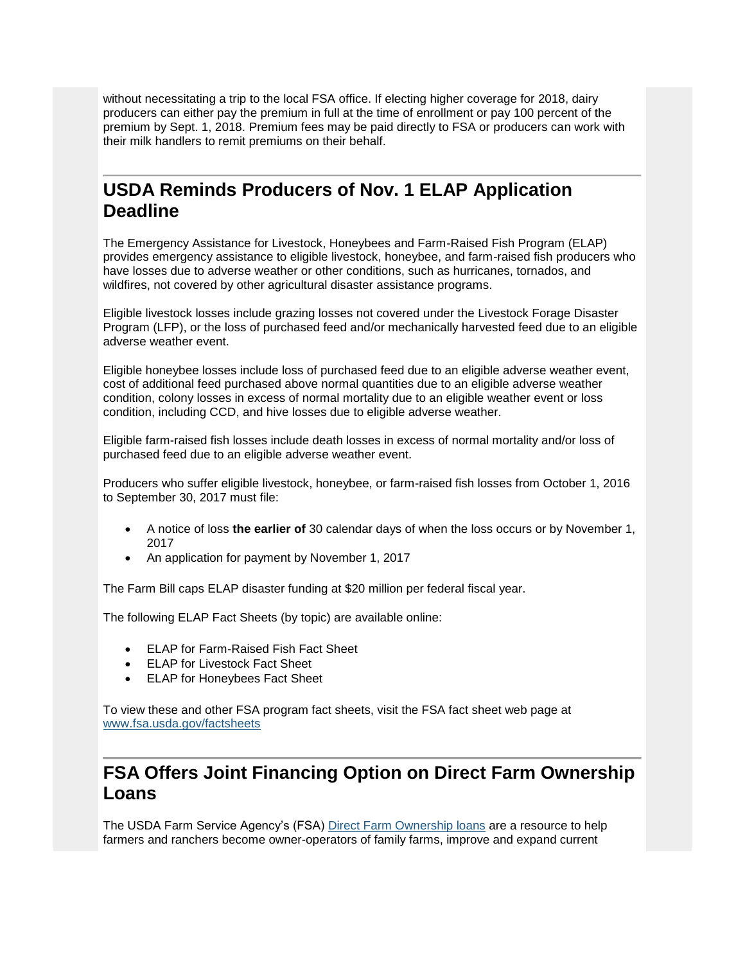without necessitating a trip to the local FSA office. If electing higher coverage for 2018, dairy producers can either pay the premium in full at the time of enrollment or pay 100 percent of the premium by Sept. 1, 2018. Premium fees may be paid directly to FSA or producers can work with their milk handlers to remit premiums on their behalf.

## <span id="page-3-0"></span>**USDA Reminds Producers of Nov. 1 ELAP Application Deadline**

The Emergency Assistance for Livestock, Honeybees and Farm-Raised Fish Program (ELAP) provides emergency assistance to eligible livestock, honeybee, and farm-raised fish producers who have losses due to adverse weather or other conditions, such as hurricanes, tornados, and wildfires, not covered by other agricultural disaster assistance programs.

Eligible livestock losses include grazing losses not covered under the Livestock Forage Disaster Program (LFP), or the loss of purchased feed and/or mechanically harvested feed due to an eligible adverse weather event.

Eligible honeybee losses include loss of purchased feed due to an eligible adverse weather event, cost of additional feed purchased above normal quantities due to an eligible adverse weather condition, colony losses in excess of normal mortality due to an eligible weather event or loss condition, including CCD, and hive losses due to eligible adverse weather.

Eligible farm-raised fish losses include death losses in excess of normal mortality and/or loss of purchased feed due to an eligible adverse weather event.

Producers who suffer eligible livestock, honeybee, or farm-raised fish losses from October 1, 2016 to September 30, 2017 must file:

- A notice of loss **the earlier of** 30 calendar days of when the loss occurs or by November 1, 2017
- An application for payment by November 1, 2017

The Farm Bill caps ELAP disaster funding at \$20 million per federal fiscal year.

The following ELAP Fact Sheets (by topic) are available online:

- ELAP for Farm-Raised Fish Fact Sheet
- ELAP for Livestock Fact Sheet
- ELAP for Honeybees Fact Sheet

To view these and other FSA program fact sheets, visit the FSA fact sheet web page at [www.fsa.usda.gov/factsheets](http://www.fsa.usda.gov/factsheets)

### <span id="page-3-1"></span>**FSA Offers Joint Financing Option on Direct Farm Ownership Loans**

The USDA Farm Service Agency's (FSA) [Direct Farm Ownership loans](https://www.fsa.usda.gov/programs-and-services/farm-loan-programs/farm-ownership-loans/index) are a resource to help farmers and ranchers become owner-operators of family farms, improve and expand current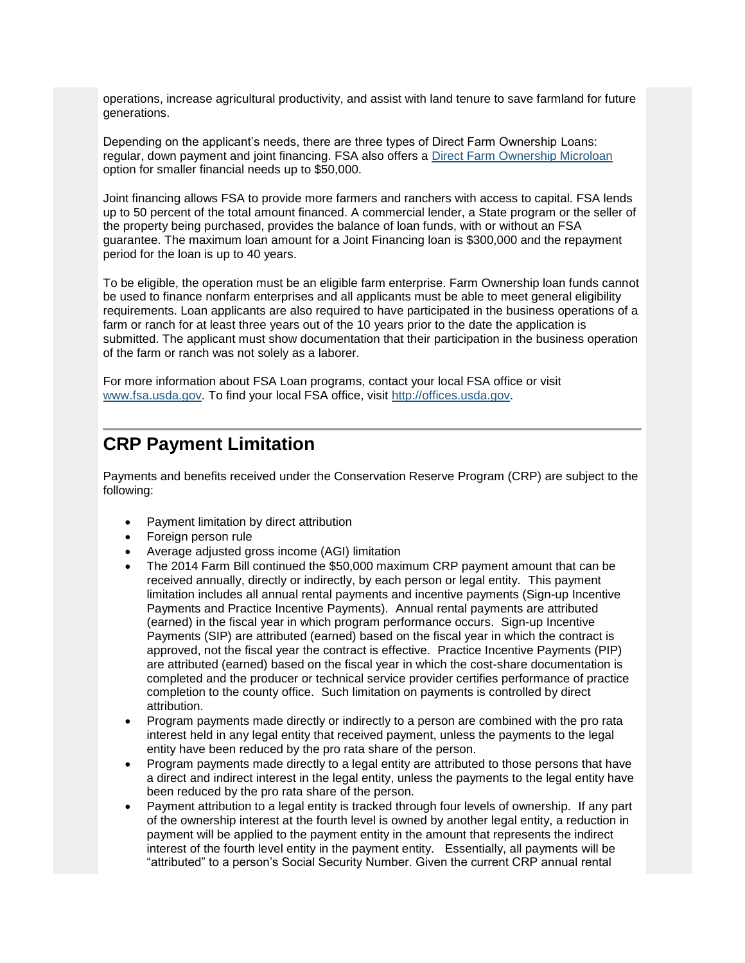operations, increase agricultural productivity, and assist with land tenure to save farmland for future generations.

Depending on the applicant's needs, there are three types of Direct Farm Ownership Loans: regular, down payment and joint financing. FSA also offers a [Direct Farm Ownership Microloan](https://www.fsa.usda.gov/programs-and-services/farm-loan-programs/microloans/index) option for smaller financial needs up to \$50,000.

Joint financing allows FSA to provide more farmers and ranchers with access to capital. FSA lends up to 50 percent of the total amount financed. A commercial lender, a State program or the seller of the property being purchased, provides the balance of loan funds, with or without an FSA guarantee. The maximum loan amount for a Joint Financing loan is \$300,000 and the repayment period for the loan is up to 40 years.

To be eligible, the operation must be an eligible farm enterprise. Farm Ownership loan funds cannot be used to finance nonfarm enterprises and all applicants must be able to meet general eligibility requirements. Loan applicants are also required to have participated in the business operations of a farm or ranch for at least three years out of the 10 years prior to the date the application is submitted. The applicant must show documentation that their participation in the business operation of the farm or ranch was not solely as a laborer.

For more information about FSA Loan programs, contact your local FSA office or visit [www.fsa.usda.gov.](http://www.fsa.usda.gov/) To find your local FSA office, visit [http://offices.usda.gov.](http://offices.usda.gov/)

### <span id="page-4-0"></span>**CRP Payment Limitation**

Payments and benefits received under the Conservation Reserve Program (CRP) are subject to the following:

- Payment limitation by direct attribution
- Foreign person rule
- Average adjusted gross income (AGI) limitation
- The 2014 Farm Bill continued the \$50,000 maximum CRP payment amount that can be received annually, directly or indirectly, by each person or legal entity. This payment limitation includes all annual rental payments and incentive payments (Sign-up Incentive Payments and Practice Incentive Payments). Annual rental payments are attributed (earned) in the fiscal year in which program performance occurs. Sign-up Incentive Payments (SIP) are attributed (earned) based on the fiscal year in which the contract is approved, not the fiscal year the contract is effective. Practice Incentive Payments (PIP) are attributed (earned) based on the fiscal year in which the cost-share documentation is completed and the producer or technical service provider certifies performance of practice completion to the county office. Such limitation on payments is controlled by direct attribution.
- Program payments made directly or indirectly to a person are combined with the pro rata interest held in any legal entity that received payment, unless the payments to the legal entity have been reduced by the pro rata share of the person.
- Program payments made directly to a legal entity are attributed to those persons that have a direct and indirect interest in the legal entity, unless the payments to the legal entity have been reduced by the pro rata share of the person.
- Payment attribution to a legal entity is tracked through four levels of ownership. If any part of the ownership interest at the fourth level is owned by another legal entity, a reduction in payment will be applied to the payment entity in the amount that represents the indirect interest of the fourth level entity in the payment entity. Essentially, all payments will be "attributed" to a person's Social Security Number. Given the current CRP annual rental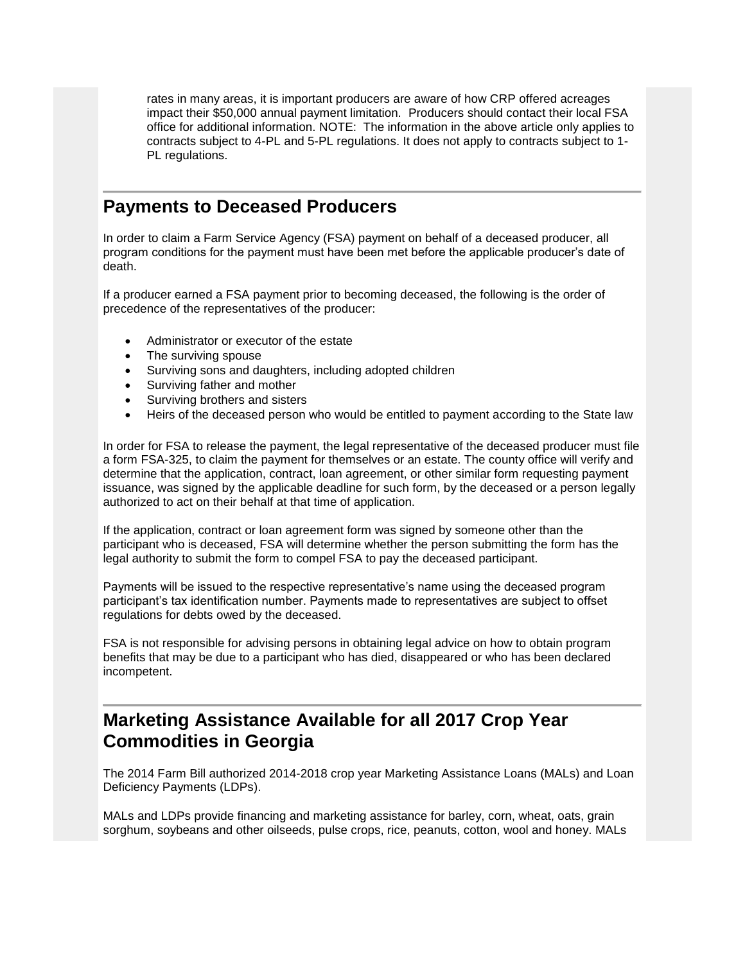rates in many areas, it is important producers are aware of how CRP offered acreages impact their \$50,000 annual payment limitation. Producers should contact their local FSA office for additional information. NOTE: The information in the above article only applies to contracts subject to 4-PL and 5-PL regulations. It does not apply to contracts subject to 1- PL regulations.

#### <span id="page-5-0"></span>**Payments to Deceased Producers**

In order to claim a Farm Service Agency (FSA) payment on behalf of a deceased producer, all program conditions for the payment must have been met before the applicable producer's date of death.

If a producer earned a FSA payment prior to becoming deceased, the following is the order of precedence of the representatives of the producer:

- Administrator or executor of the estate
- The surviving spouse
- Surviving sons and daughters, including adopted children
- Surviving father and mother
- Surviving brothers and sisters
- Heirs of the deceased person who would be entitled to payment according to the State law

In order for FSA to release the payment, the legal representative of the deceased producer must file a form FSA-325, to claim the payment for themselves or an estate. The county office will verify and determine that the application, contract, loan agreement, or other similar form requesting payment issuance, was signed by the applicable deadline for such form, by the deceased or a person legally authorized to act on their behalf at that time of application.

If the application, contract or loan agreement form was signed by someone other than the participant who is deceased, FSA will determine whether the person submitting the form has the legal authority to submit the form to compel FSA to pay the deceased participant.

Payments will be issued to the respective representative's name using the deceased program participant's tax identification number. Payments made to representatives are subject to offset regulations for debts owed by the deceased.

FSA is not responsible for advising persons in obtaining legal advice on how to obtain program benefits that may be due to a participant who has died, disappeared or who has been declared incompetent.

## <span id="page-5-1"></span>**Marketing Assistance Available for all 2017 Crop Year Commodities in Georgia**

The 2014 Farm Bill authorized 2014-2018 crop year Marketing Assistance Loans (MALs) and Loan Deficiency Payments (LDPs).

MALs and LDPs provide financing and marketing assistance for barley, corn, wheat, oats, grain sorghum, soybeans and other oilseeds, pulse crops, rice, peanuts, cotton, wool and honey. MALs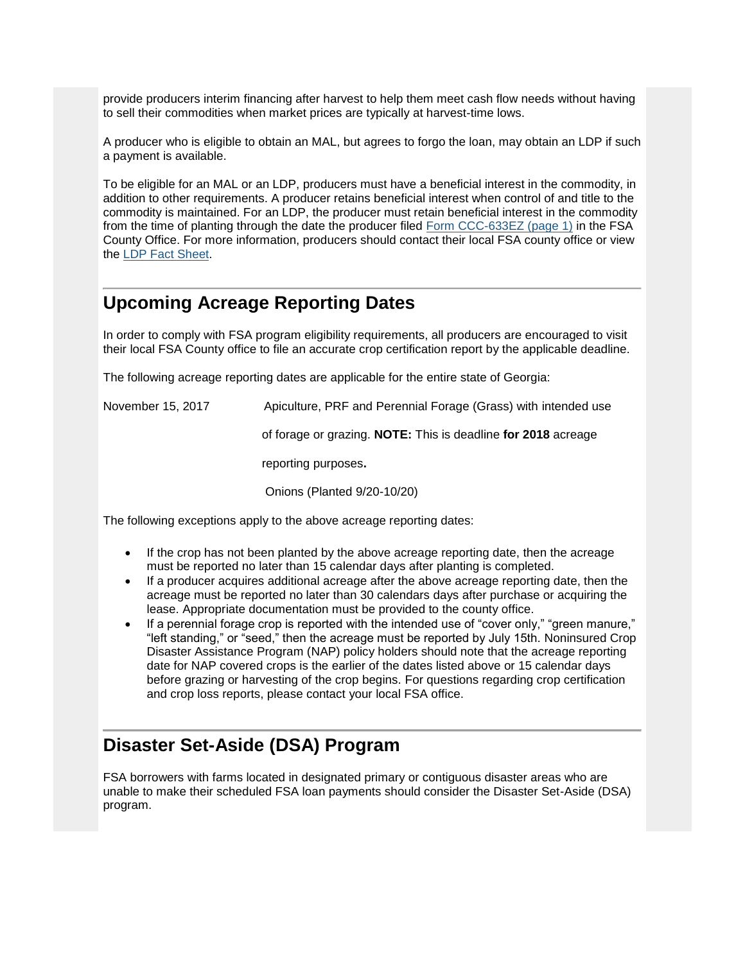provide producers interim financing after harvest to help them meet cash flow needs without having to sell their commodities when market prices are typically at harvest-time lows.

A producer who is eligible to obtain an MAL, but agrees to forgo the loan, may obtain an LDP if such a payment is available.

To be eligible for an MAL or an LDP, producers must have a beneficial interest in the commodity, in addition to other requirements. A producer retains beneficial interest when control of and title to the commodity is maintained. For an LDP, the producer must retain beneficial interest in the commodity from the time of planting through the date the producer filed [Form CCC-633EZ \(page 1\)](http://forms.sc.egov.usda.gov/efcommon/eFileServices/eForms/CCC633-EZ.PDF) in the FSA County Office. For more information, producers should contact their local FSA county office or view the [LDP Fact Sheet.](http://www.fsa.usda.gov/Assets/USDA-FSA-Public/usdafiles/FactSheets/2016/mal_ldp_2016.pdf)

#### <span id="page-6-0"></span>**Upcoming Acreage Reporting Dates**

In order to comply with FSA program eligibility requirements, all producers are encouraged to visit their local FSA County office to file an accurate crop certification report by the applicable deadline.

The following acreage reporting dates are applicable for the entire state of Georgia:

November 15, 2017 Apiculture, PRF and Perennial Forage (Grass) with intended use of forage or grazing. **NOTE:** This is deadline **for 2018** acreage reporting purposes**.** Onions (Planted 9/20-10/20)

The following exceptions apply to the above acreage reporting dates:

- If the crop has not been planted by the above acreage reporting date, then the acreage must be reported no later than 15 calendar days after planting is completed.
- If a producer acquires additional acreage after the above acreage reporting date, then the acreage must be reported no later than 30 calendars days after purchase or acquiring the lease. Appropriate documentation must be provided to the county office.
- If a perennial forage crop is reported with the intended use of "cover only," "green manure," "left standing," or "seed," then the acreage must be reported by July 15th. Noninsured Crop Disaster Assistance Program (NAP) policy holders should note that the acreage reporting date for NAP covered crops is the earlier of the dates listed above or 15 calendar days before grazing or harvesting of the crop begins. For questions regarding crop certification and crop loss reports, please contact your local FSA office.

#### <span id="page-6-1"></span>**Disaster Set-Aside (DSA) Program**

FSA borrowers with farms located in designated primary or contiguous disaster areas who are unable to make their scheduled FSA loan payments should consider the Disaster Set-Aside (DSA) program.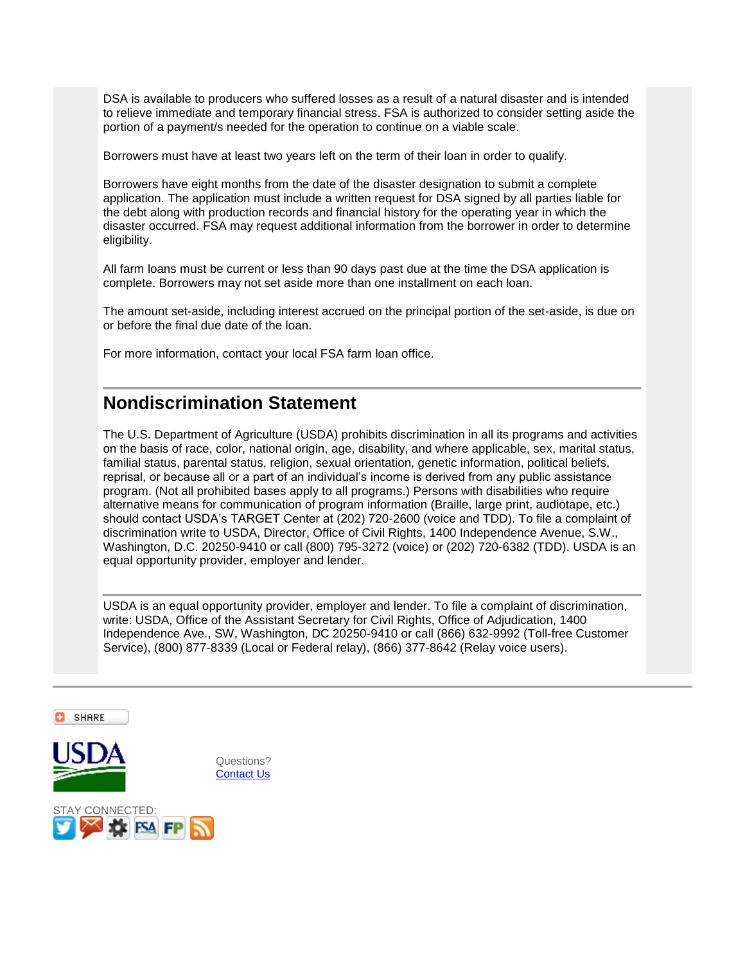DSA is available to producers who suffered losses as a result of a natural disaster and is intended to relieve immediate and temporary financial stress. FSA is authorized to consider setting aside the portion of a payment/s needed for the operation to continue on a viable scale.

Borrowers must have at least two years left on the term of their loan in order to qualify.

Borrowers have eight months from the date of the disaster designation to submit a complete application. The application must include a written request for DSA signed by all parties liable for the debt along with production records and financial history for the operating year in which the disaster occurred. FSA may request additional information from the borrower in order to determine eligibility.

All farm loans must be current or less than 90 days past due at the time the DSA application is complete. Borrowers may not set aside more than one installment on each loan.

The amount set-aside, including interest accrued on the principal portion of the set-aside, is due on or before the final due date of the loan.

For more information, contact your local FSA farm loan office.

### <span id="page-7-0"></span>**Nondiscrimination Statement**

The U.S. Department of Agriculture (USDA) prohibits discrimination in all its programs and activities on the basis of race, color, national origin, age, disability, and where applicable, sex, marital status, familial status, parental status, religion, sexual orientation, genetic information, political beliefs, reprisal, or because all or a part of an individual's income is derived from any public assistance program. (Not all prohibited bases apply to all programs.) Persons with disabilities who require alternative means for communication of program information (Braille, large print, audiotape, etc.) should contact USDA's TARGET Center at (202) 720-2600 (voice and TDD). To file a complaint of discrimination write to USDA, Director, Office of Civil Rights, 1400 Independence Avenue, S.W., Washington, D.C. 20250-9410 or call (800) 795-3272 (voice) or (202) 720-6382 (TDD). USDA is an equal opportunity provider, employer and lender.

USDA is an equal opportunity provider, employer and lender. To file a complaint of discrimination, write: USDA, Office of the Assistant Secretary for Civil Rights, Office of Adjudication, 1400 Independence Ave., SW, Washington, DC 20250-9410 or call (866) 632-9992 (Toll-free Customer Service), (800) 877-8339 (Local or Federal relay), (866) 377-8642 (Relay voice users).



**C** SHARE

Questions? [Contact Us](http://www.fsa.usda.gov/FSA/webapp?area=contact&subject=landing&topic=landing)